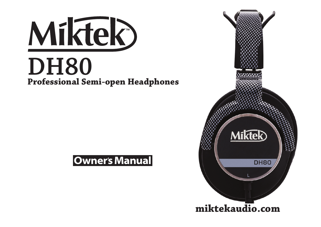



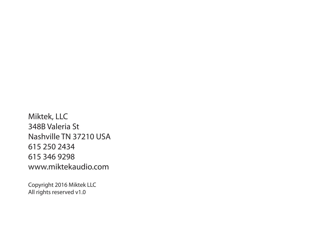Miktek, LLC 348B Valeria St Nashville TN 37210 USA 615 250 2434 615 346 9298 www.miktekaudio.com

Copyright 2016 Miktek LLC All rights reserved v1.0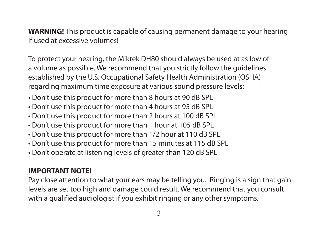**WARNING!** This product is capable of causing permanent damage to your hearing if used at excessive volumes!

To protect your hearing, the Miktek DH80 should always be used at as low of a volume as possible. We recommend that you strictly follow the guidelines established by the U.S. Occupational Safety Health Administration (OSHA) regarding maximum time exposure at various sound pressure levels:

- Don't use this product for more than 8 hours at 90 dB SPL
- Don't use this product for more than 4 hours at 95 dB SPL
- Don't use this product for more than 2 hours at 100 dB SPL
- Don't use this product for more than 1 hour at 105 dB SPL
- Don't use this product for more than 1/2 hour at 110 dB SPL
- Don't use this product for more than 15 minutes at 115 dB SPL
- Don't operate at listening levels of greater than 120 dB SPL

### **IMPORTANT NOTE!**

Pay close attention to what your ears may be telling you. Ringing is a sign that gain levels are set too high and damage could result. We recommend that you consult with a qualified audiologist if you exhibit ringing or any other symptoms.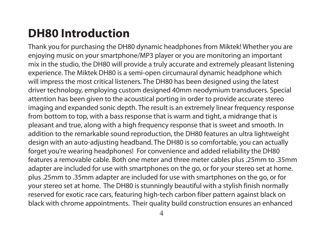# **DH80 Introduction**

Thank you for purchasing the DH80 dynamic headphones from Miktek! Whether you are enjoying music on your smartphone/MP3 player or you are monitoring an important mix in the studio, the DH80 will provide a truly accurate and extremely pleasant listening experience. The Miktek DH80 is a semi-open circumaural dynamic headphone which will impress the most critical listeners. The DH80 has been designed using the latest driver technology, employing custom designed 40mm neodymium transducers. Special attention has been given to the acoustical porting in order to provide accurate stereo imaging and expanded sonic depth. The result is an extremely linear frequency response from bottom to top, with a bass response that is warm and tight, a midrange that is pleasant and true, along with a high frequency response that is sweet and smooth. In addition to the remarkable sound reproduction, the DH80 features an ultra lightweight design with an auto-adjusting headband. The DH80 is so comfortable, you can actually forget you're wearing headphones! For convenience and added reliability the DH80 features a removable cable. Both one meter and three meter cables plus .25mm to .35mm adapter are included for use with smartphones on the go, or for your stereo set at home. plus .25mm to .35mm adapter are included for use with smartphones on the go, or for your stereo set at home. The DH80 is stunningly beautiful with a stylish finish normally reserved for exotic race cars, featuring high-tech carbon fiber pattern against black on black with chrome appointments. Their quality build construction ensures an enhanced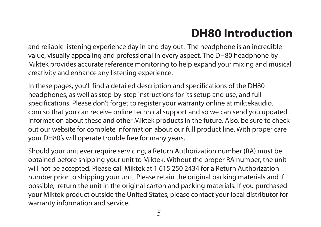# **DH80 Introduction**

and reliable listening experience day in and day out. The headphone is an incredible value, visually appealing and professional in every aspect. The DH80 headphone by Miktek provides accurate reference monitoring to help expand your mixing and musical creativity and enhance any listening experience.

In these pages, you'll find a detailed description and specifications of the DH80 headphones, as well as step-by-step instructions for its setup and use, and full specifications. Please don't forget to register your warranty online at miktekaudio. com so that you can receive online technical support and so we can send you updated information about these and other Miktek products in the future. Also, be sure to check out our website for complete information about our full product line. With proper care your DH80's will operate trouble free for many years.

Should your unit ever require servicing, a Return Authorization number (RA) must be obtained before shipping your unit to Miktek. Without the proper RA number, the unit will not be accepted. Please call Miktek at 1 615 250 2434 for a Return Authorization number prior to shipping your unit. Please retain the original packing materials and if possible, return the unit in the original carton and packing materials. If you purchased your Miktek product outside the United States, please contact your local distributor for warranty information and service.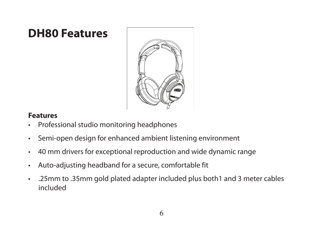### **DH80 Features**



#### **Features**

- Professional studio monitoring headphones
- Semi-open design for enhanced ambient listening environment
- 40 mm drivers for exceptional reproduction and wide dynamic range
- Auto-adjusting headband for a secure, comfortable fit
- .25mm to .35mm gold plated adapter included plus both1 and 3 meter cables included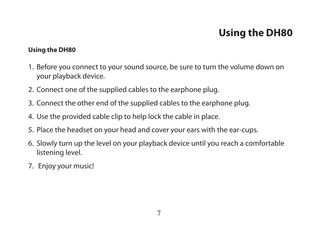## **Using the DH80**

#### **Using the DH80**

- 1. Before you connect to your sound source, be sure to turn the volume down on your playback device.
- 2. Connect one of the supplied cables to the earphone plug.
- 3. Connect the other end of the supplied cables to the earphone plug.
- 4. Use the provided cable clip to help lock the cable in place.
- 5. Place the headset on your head and cover your ears with the ear-cups.
- 6. Slowly turn up the level on your playback device until you reach a comfortable listening level.
- 7. Enjoy your music!